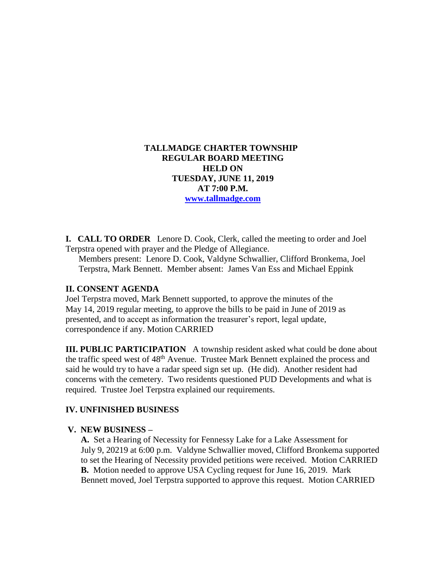### **TALLMADGE CHARTER TOWNSHIP REGULAR BOARD MEETING HELD ON TUESDAY, JUNE 11, 2019 AT 7:00 P.M. [www.tallmadge.com](http://www.tallmadge.com/)**

**I. CALL TO ORDER** Lenore D. Cook, Clerk, called the meeting to order and Joel Terpstra opened with prayer and the Pledge of Allegiance.

Members present: Lenore D. Cook, Valdyne Schwallier, Clifford Bronkema, Joel Terpstra, Mark Bennett. Member absent: James Van Ess and Michael Eppink

#### **II. CONSENT AGENDA**

Joel Terpstra moved, Mark Bennett supported, to approve the minutes of the May 14, 2019 regular meeting, to approve the bills to be paid in June of 2019 as presented, and to accept as information the treasurer's report, legal update, correspondence if any. Motion CARRIED

**III. PUBLIC PARTICIPATION** A township resident asked what could be done about the traffic speed west of 48<sup>th</sup> Avenue. Trustee Mark Bennett explained the process and said he would try to have a radar speed sign set up. (He did). Another resident had concerns with the cemetery. Two residents questioned PUD Developments and what is required. Trustee Joel Terpstra explained our requirements.

# **IV. UNFINISHED BUSINESS**

#### **V. NEW BUSINESS –**

 **A.** Set a Hearing of Necessity for Fennessy Lake for a Lake Assessment for July 9, 20219 at 6:00 p.m. Valdyne Schwallier moved, Clifford Bronkema supported to set the Hearing of Necessity provided petitions were received. Motion CARRIED **B.** Motion needed to approve USA Cycling request for June 16, 2019. Mark Bennett moved, Joel Terpstra supported to approve this request. Motion CARRIED